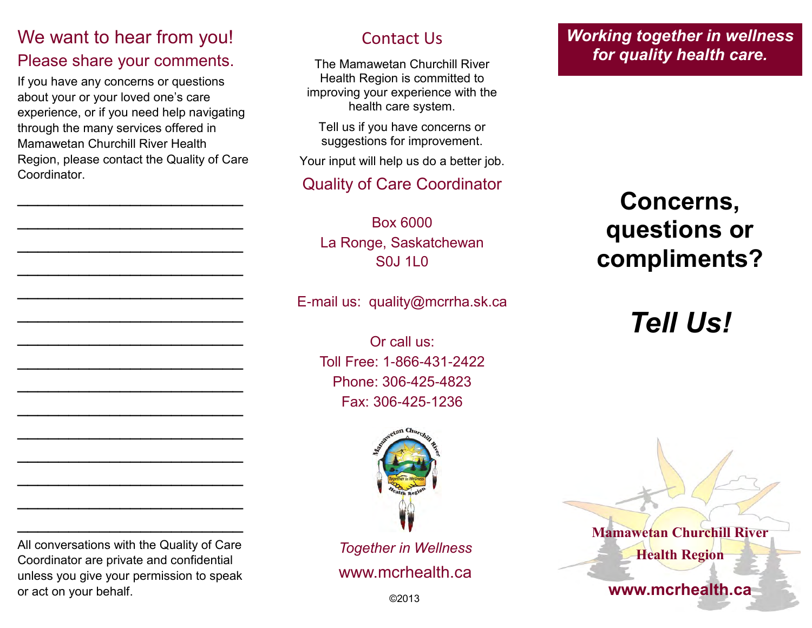### We want to hear from you!

#### Please share your comments.

If you have any concerns or questions about your or your loved one's care experience, or if you need help navigating through the many services offered in Mamawetan Churchill River Health Region, please contact the Quality of Care Coordinator.

 $\mathcal{L}_\text{max}$  , where  $\mathcal{L}_\text{max}$ 

 $\mathcal{L}_\text{max}$  , where  $\mathcal{L}_\text{max}$ 

 $\mathcal{L}_\text{max}$  , where  $\mathcal{L}_\text{max}$ 

 $\mathcal{L}_\text{max}$  , where  $\mathcal{L}_\text{max}$ 

 $\mathcal{L}_\text{max}$  , where  $\mathcal{L}_\text{max}$ 

 $\mathcal{L}_\text{max}$  , where  $\mathcal{L}_\text{max}$ 

 $\mathcal{L}_\text{max}$  , where  $\mathcal{L}_\text{max}$ 

 $\mathcal{L}_\text{max}$  , where  $\mathcal{L}_\text{max}$ 

 $\mathcal{L}_\text{max}$  , where  $\mathcal{L}_\text{max}$ 

 $\mathcal{L}_\text{max}$  , where  $\mathcal{L}_\text{max}$ 

 $\mathcal{L}_\text{max}$  , where  $\mathcal{L}_\text{max}$ 

 $\mathcal{L}_\text{max}$  , where  $\mathcal{L}_\text{max}$ 

 $\mathcal{L}_\text{max}$  , where  $\mathcal{L}_\text{max}$ 

 $\mathcal{L}_\text{max}$  , where  $\mathcal{L}_\text{max}$ 

 $\mathcal{L}_\text{max}$  , where  $\mathcal{L}_\text{max}$ 

Contact Us

The Mamawetan Churchill River Health Region is committed to improving your experience with the health care system.

Tell us if you have concerns or suggestions for improvement.

Your input will help us do a better job.

### Quality of Care Coordinator

Box 6000 La Ronge, Saskatchewan S0J 1L0

E-mail us: quality@mcrrha.sk.ca

Or call us: Toll Free: 1-866-431-2422 Phone: 306-425-4823 Fax: 306-425-1236



*Together in Wellness* www.mcrhealth.ca *Working together in wellness for quality health care.*

# **Concerns, questions or compliments?**

*Tell Us!*

All conversations with the Quality of Care Coordinator are private and confidential unless you give your permission to speak or act on your behalf.  $\Box$